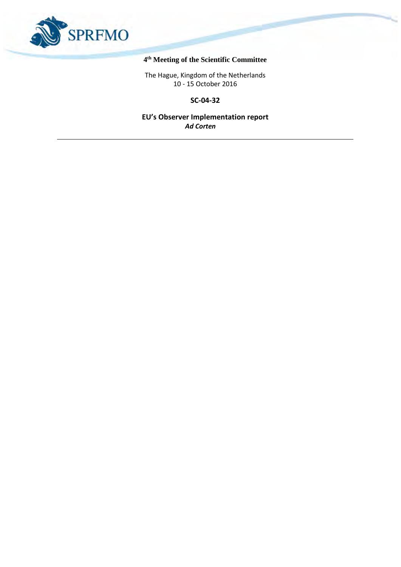

# **4 th Meeting of the Scientific Committee**

The Hague, Kingdom of the Netherlands 10 - 15 October 2016

**SC-04-32**

**EU's Observer Implementation report** *Ad Corten*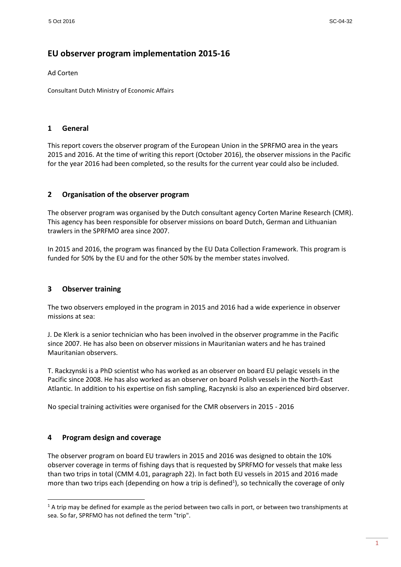# **EU observer program implementation 2015-16**

Ad Corten

Consultant Dutch Ministry of Economic Affairs

#### **1 General**

This report covers the observer program of the European Union in the SPRFMO area in the years 2015 and 2016. At the time of writing this report (October 2016), the observer missions in the Pacific for the year 2016 had been completed, so the results for the current year could also be included.

#### **2 Organisation of the observer program**

The observer program was organised by the Dutch consultant agency Corten Marine Research (CMR). This agency has been responsible for observer missions on board Dutch, German and Lithuanian trawlers in the SPRFMO area since 2007.

In 2015 and 2016, the program was financed by the EU Data Collection Framework. This program is funded for 50% by the EU and for the other 50% by the member states involved.

# **3 Observer training**

The two observers employed in the program in 2015 and 2016 had a wide experience in observer missions at sea:

J. De Klerk is a senior technician who has been involved in the observer programme in the Pacific since 2007. He has also been on observer missions in Mauritanian waters and he has trained Mauritanian observers.

T. Rackzynski is a PhD scientist who has worked as an observer on board EU pelagic vessels in the Pacific since 2008. He has also worked as an observer on board Polish vessels in the North-East Atlantic. In addition to his expertise on fish sampling, Raczynski is also an experienced bird observer.

No special training activities were organised for the CMR observers in 2015 - 2016

#### **4 Program design and coverage**

**.** 

The observer program on board EU trawlers in 2015 and 2016 was designed to obtain the 10% observer coverage in terms of fishing days that is requested by SPRFMO for vessels that make less than two trips in total (CMM 4.01, paragraph 22). In fact both EU vessels in 2015 and 2016 made more than two trips each (depending on how a trip is defined<sup>1</sup>), so technically the coverage of only

 $1$  A trip may be defined for example as the period between two calls in port, or between two transhipments at sea. So far, SPRFMO has not defined the term "trip".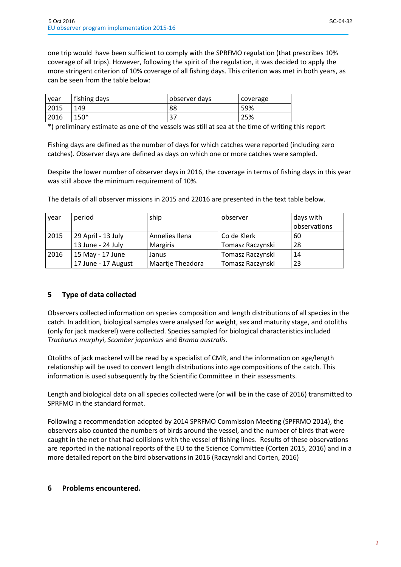one trip would have been sufficient to comply with the SPRFMO regulation (that prescribes 10% coverage of all trips). However, following the spirit of the regulation, it was decided to apply the more stringent criterion of 10% coverage of all fishing days. This criterion was met in both years, as can be seen from the table below:

| vear | fishing days | observer days | coverage |
|------|--------------|---------------|----------|
| 2015 | 149          | 88            | 59%      |
| 2016 | $150*$       | ີ<br>، ب      | 25%      |

\*) preliminary estimate as one of the vessels was still at sea at the time of writing this report

Fishing days are defined as the number of days for which catches were reported (including zero catches). Observer days are defined as days on which one or more catches were sampled.

Despite the lower number of observer days in 2016, the coverage in terms of fishing days in this year was still above the minimum requirement of 10%.

| year | period              | ship             | observer         | days with    |
|------|---------------------|------------------|------------------|--------------|
|      |                     |                  |                  | observations |
| 2015 | 29 April - 13 July  | Annelies Ilena   | Co de Klerk      | 60           |
|      | 13 June - 24 July   | Margiris         | Tomasz Raczynski | 28           |
| 2016 | 15 May - 17 June    | Janus            | Tomasz Raczynski | 14           |
|      | 17 June - 17 August | Maartje Theadora | Tomasz Raczynski | 23           |

The details of all observer missions in 2015 and 22016 are presented in the text table below.

# **5 Type of data collected**

Observers collected information on species composition and length distributions of all species in the catch. In addition, biological samples were analysed for weight, sex and maturity stage, and otoliths (only for jack mackerel) were collected. Species sampled for biological characteristics included *Trachurus murphyi*, *Scomber japonicus* and *Brama australis*.

Otoliths of jack mackerel will be read by a specialist of CMR, and the information on age/length relationship will be used to convert length distributions into age compositions of the catch. This information is used subsequently by the Scientific Committee in their assessments.

Length and biological data on all species collected were (or will be in the case of 2016) transmitted to SPRFMO in the standard format.

Following a recommendation adopted by 2014 SPRFMO Commission Meeting (SPFRMO 2014), the observers also counted the numbers of birds around the vessel, and the number of birds that were caught in the net or that had collisions with the vessel of fishing lines. Results of these observations are reported in the national reports of the EU to the Science Committee (Corten 2015, 2016) and in a more detailed report on the bird observations in 2016 (Raczynski and Corten, 2016)

# **6 Problems encountered.**